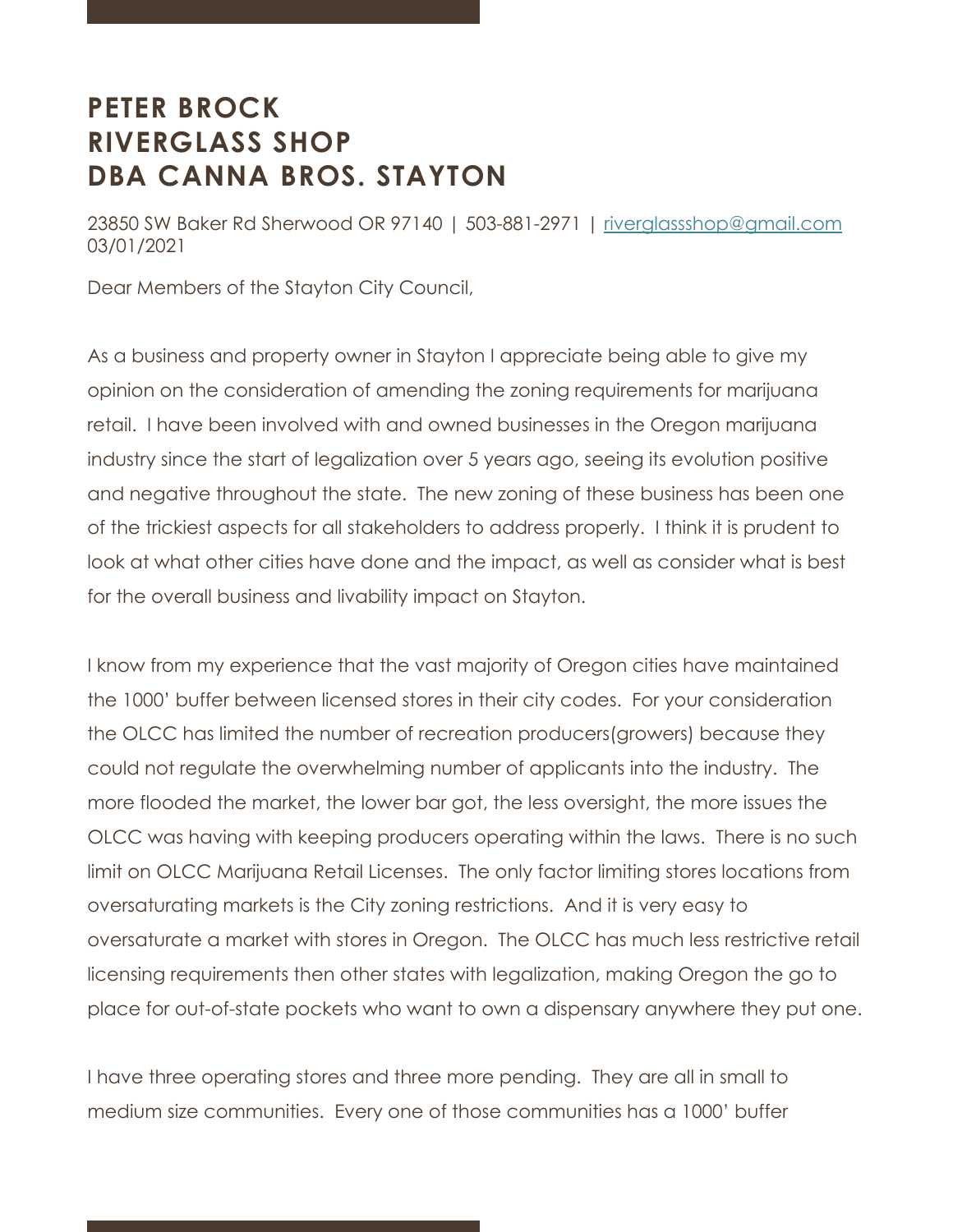## **PETER BROCK RIVERGLASS SHOP DBA CANNA BROS. STAYTON**

23850 SW Baker Rd Sherwood OR 97140 | 503-881-2971 | riverglassshop@gmail.com 03/01/2021

Dear Members of the Stayton City Council,

As a business and property owner in Stayton I appreciate being able to give my opinion on the consideration of amending the zoning requirements for marijuana retail. I have been involved with and owned businesses in the Oregon marijuana industry since the start of legalization over 5 years ago, seeing its evolution positive and negative throughout the state. The new zoning of these business has been one of the trickiest aspects for all stakeholders to address properly. I think it is prudent to look at what other cities have done and the impact, as well as consider what is best for the overall business and livability impact on Stayton.

I know from my experience that the vast majority of Oregon cities have maintained the 1000' buffer between licensed stores in their city codes. For your consideration the OLCC has limited the number of recreation producers(growers) because they could not regulate the overwhelming number of applicants into the industry. The more flooded the market, the lower bar got, the less oversight, the more issues the OLCC was having with keeping producers operating within the laws. There is no such limit on OLCC Marijuana Retail Licenses. The only factor limiting stores locations from oversaturating markets is the City zoning restrictions. And it is very easy to oversaturate a market with stores in Oregon. The OLCC has much less restrictive retail licensing requirements then other states with legalization, making Oregon the go to place for out-of-state pockets who want to own a dispensary anywhere they put one.

I have three operating stores and three more pending. They are all in small to medium size communities. Every one of those communities has a 1000' buffer